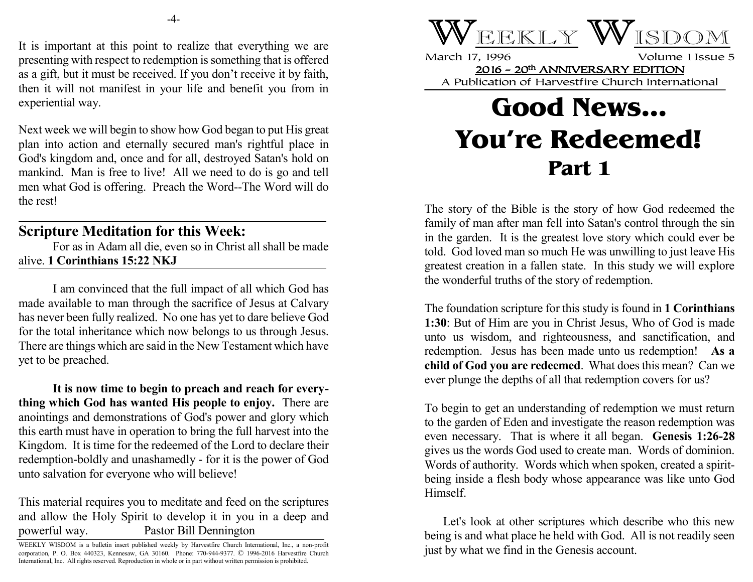It is important at this point to realize that everything we are presenting with respect to redemption is something that is offered as a gift, but it must be received. If you don't receive it by faith, then it will not manifest in your life and benefit you from in experiential way.

Next week we will begin to show how God began to put His great plan into action and eternally secured man's rightful place in God's kingdom and, once and for all, destroyed Satan's hold on mankind. Man is free to live! All we need to do is go and tell men what God is offering. Preach the Word--The Word will do the rest!

## **Scripture Meditation for this Week:**

For as in Adam all die, even so in Christ all shall be made alive. **1 Corinthians 15:22 NKJ**

I am convinced that the full impact of all which God has made available to man through the sacrifice of Jesus at Calvary has never been fully realized. No one has yet to dare believe God for the total inheritance which now belongs to us through Jesus. There are things which are said in the New Testament which have yet to be preached.

**It is now time to begin to preach and reach for everything which God has wanted His people to enjoy.** There are anointings and demonstrations of God's power and glory which this earth must have in operation to bring the full harvest into the Kingdom. It is time for the redeemed of the Lord to declare their redemption-boldly and unashamedly - for it is the power of God unto salvation for everyone who will believe!

This material requires you to meditate and feed on the scriptures and allow the Holy Spirit to develop it in you in a deep and powerful way. Pastor Bill Dennington



March 17, 1996 Volume 1 Issue 5 2016 - 20th ANNIVERSARY EDITION A Publication of Harvestfire Church International

## **Good News... You're Redeemed! Part 1**

The story of the Bible is the story of how God redeemed the family of man after man fell into Satan's control through the sin in the garden. It is the greatest love story which could ever be told. God loved man so much He was unwilling to just leave His greatest creation in a fallen state. In this study we will explore the wonderful truths of the story of redemption.

The foundation scripture for this study is found in **1 Corinthians 1:30**: But of Him are you in Christ Jesus, Who of God is made unto us wisdom, and righteousness, and sanctification, and redemption. Jesus has been made unto us redemption! **As a child of God you are redeemed**. What does this mean? Can we ever plunge the depths of all that redemption covers for us?

To begin to get an understanding of redemption we must return to the garden of Eden and investigate the reason redemption was even necessary. That is where it all began. **Genesis 1:26-28** gives us the words God used to create man. Words of dominion. Words of authority. Words which when spoken, created a spiritbeing inside a flesh body whose appearance was like unto God Himself.

Let's look at other scriptures which describe who this new being is and what place he held with God. All is not readily seen just by what we find in the Genesis account.

WEEKLY WISDOM is a bulletin insert published weekly by Harvestfire Church International, Inc., a non-profit corporation, P. O. Box 440323, Kennesaw, GA 30160. Phone: 770-944-9377. © 1996-2016 Harvestfire Church International, Inc. All rights reserved. Reproduction in whole or in part without written permission is prohibited.